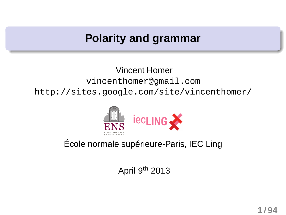#### **Polarity and grammar**

Vincent Homer vincenthomer@gmail.com http://sites.google.com/site/vincenthomer/



#### École normale supérieure-Paris, IEC Ling

April 9th 2013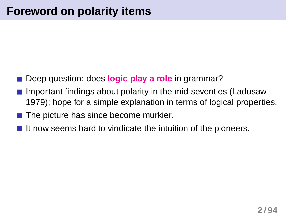- Deep question: does **logic play a role** in grammar?
- Important findings about polarity in the mid-seventies (Ladusaw 1979); hope for a simple explanation in terms of logical properties.
- $\blacksquare$  The picture has since become murkier.
- It now seems hard to vindicate the intuition of the pioneers.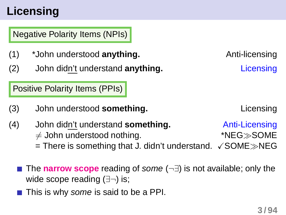# **Licensing**

Negative Polarity Items (NPIs)

- (1) \*John understood **anything.** Anti-licensing
- (2) John didn't understand **anything.** Licensing

Positive Polarity Items (PPIs)

(3) John understood **something.** Licensing

- <span id="page-2-0"></span>(4) John didn't understand **something.** Anti-Licensing  $\neq$  John understood nothing.  $*NEG\gg$ SOME
	- = There is something that J. didn't understand.  $\sqrt{\text{SOME}}$ >NEG
	- The **narrow scope** reading of some (¬∃) is not available; only the wide scope reading (∃¬) is;
	- This is why some is said to be a PPI.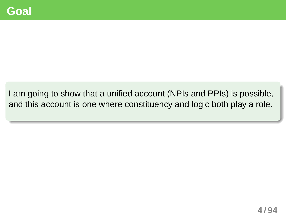I am going to show that a unified account (NPIs and PPIs) is possible, and this account is one where constituency and logic both play a role.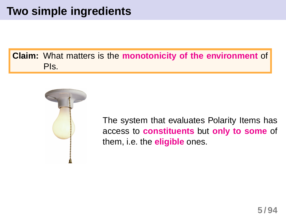#### **Claim:** What matters is the **monotonicity of the environment** of PIs.



The system that evaluates Polarity Items has access to **constituents** but **only to some** of them, i.e. the **eligible** ones.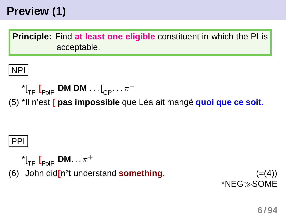# **Preview (1)**

**Principle:** Find **at least one eligible** constituent in which the PI is acceptable.

NPI

$$
\text{``I}_{\text{TP}}\text{I}_{\text{PolP}}\text{~DM~DM}\dots\text{I}_{\text{CP}}\dots\pi^-
$$

(5) \*Il n'est **[ pas impossible** que Léa ait mangé **quoi que ce soit.**

#### PPI

$$
{}^{\star}\mathfrak{l}_{\mathsf{TP}}\;\mathfrak{l}_{\mathsf{PolP}}\;\mathsf{DM}\!\ldots\pi^+
$$

(6) John did**[n't** understand **something.** ([=\(4\)\)](#page-2-0)

\*NEG≫SOME

**6 / 94**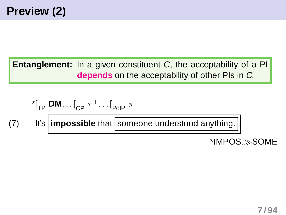**Entanglement:** In a given constituent C, the acceptability of a PI **depends** on the acceptability of other PIs in C.

$$
{}^{*}I_{TP} \text{ DM} \dots I_{CP} \pi^{+} \dots I_{PoIP} \pi^{-}
$$
\n
$$
(7) \quad \text{It's } \boxed{\text{impossible that } \boxed{\text{someone understood anything.}}}
$$
\n
$$
{}^{*}IMPOS. \gg \text{SOME}
$$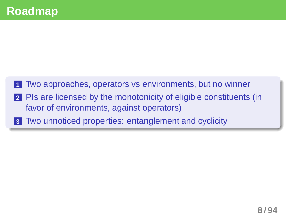

- favor of environments, against operators)
- **3** Two unnoticed properties: entanglement and cyclicity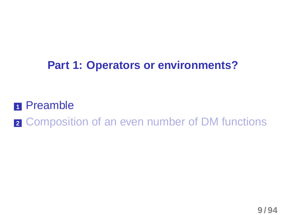## **Part 1: Operators or environments?**

#### **<sup>1</sup>** Preamble

**2** Composition of an even number of DM functions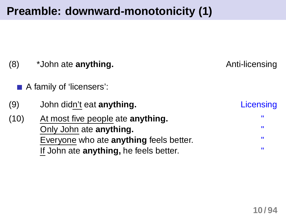# **Preamble: downward-monotonicity (1)**

| (8)  | *John ate anything.                                                               | Anti-licensing |
|------|-----------------------------------------------------------------------------------|----------------|
|      | A family of 'licensers':                                                          |                |
| (9)  | John didn't eat anything.                                                         | Licensing      |
| (10) | At most five people ate <b>anything.</b><br>Only John ate anything.               | w<br><b>W</b>  |
|      | Everyone who ate anything feels better.<br>If John ate anything, he feels better. | ш<br>ш         |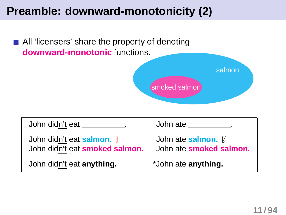# **Preamble: downward-monotonicity (2)**

All 'licensers' share the property of denoting **downward-monotonic** functions.



| John didn't eat                                                        | John ate                                             |
|------------------------------------------------------------------------|------------------------------------------------------|
| John didn't eat salmon. $\Downarrow$<br>John didn't eat smoked salmon. | John ate salmon. <i>\</i><br>John ate smoked salmon. |
| John didn't eat anything.                                              | *John ate anything.                                  |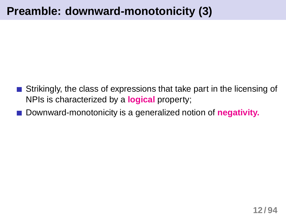## **Preamble: downward-monotonicity (3)**

- Strikingly, the class of expressions that take part in the licensing of NPIs is characterized by a **logical** property;
- Downward-monotonicity is a generalized notion of **negativity.**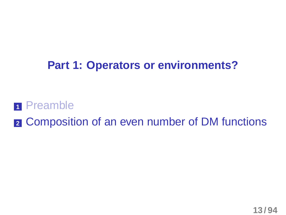#### **Part 1: Operators or environments?**

#### **<sup>1</sup>** Preamble

**2** Composition of an even number of DM functions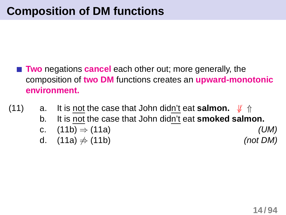- <span id="page-13-1"></span><span id="page-13-0"></span>**Two** negations **cancel** each other out; more generally, the composition of **two DM** functions creates an **upward-monotonic environment.**
- (11) a. It is not the case that John didn't eat **salmon.**  $\sqrt{\hspace{1em}}\Uparrow$ b. It is not the case that John didn't eat **smoked salmon.** c.  $(11b) \Rightarrow (11a)$  $(11b) \Rightarrow (11a)$  (UM) d.  $(11a) \neq (11b)$  $(11a) \neq (11b)$  (not DM)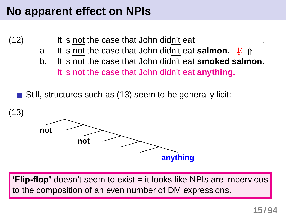#### **No apparent effect on NPIs**

- (12) It is not the case that John didn't eat .
	- a. It is not the case that John didn't eat **salmon.**  $\psi \Uparrow$
	- b. It is not the case that John didn't eat **smoked salmon.** It is not the case that John didn't eat **anything.**

<span id="page-14-0"></span>Still, structures such as [\(13\)](#page-14-0) seem to be generally licit:



**'Flip-flop'** doesn't seem to exist = it looks like NPIs are impervious to the composition of an even number of DM expressions.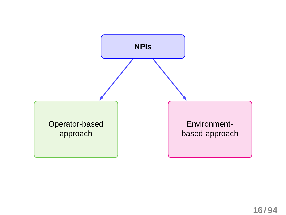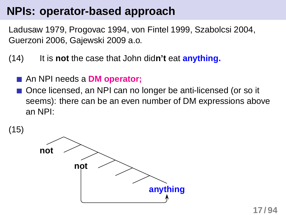#### **NPIs: operator-based approach**

Ladusaw 1979, Progovac 1994, von Fintel 1999, Szabolcsi 2004, Guerzoni 2006, Gajewski 2009 a.o.

- (14) It is **not** the case that John did**n't** eat **anything.**
	- An NPI needs a **DM operator;**
	- Once licensed, an NPI can no longer be anti-licensed (or so it seems): there can be an even number of DM expressions above an NPI:

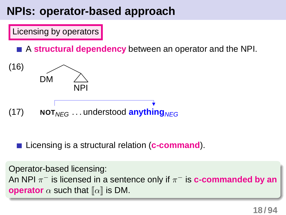### **NPIs: operator-based approach**

Licensing by operators

A **structural dependency** between an operator and the NPI.



■ Licensing is a structural relation (**c-command**).

Operator-based licensing: An NPI π<sup>-</sup> is licensed in a sentence only if π<sup>-</sup> is **c-commanded by an operator**  $\alpha$  such that  $\llbracket \alpha \rrbracket$  is DM.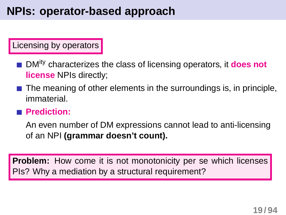#### Licensing by operators

- **DMity characterizes the class of licensing operators, it does not license** NPIs directly;
- $\blacksquare$  The meaning of other elements in the surroundings is, in principle, immaterial.

#### **Prediction:**

An even number of DM expressions cannot lead to anti-licensing of an NPI **(grammar doesn't count).**

**Problem:** How come it is not monotonicity per se which licenses PIs? Why a mediation by a structural requirement?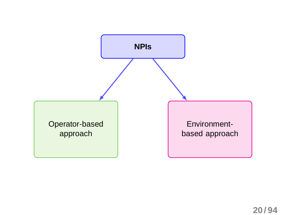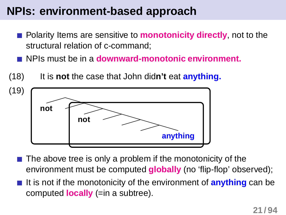### **NPIs: environment-based approach**

- Polarity Items are sensitive to **monotonicity directly**, not to the structural relation of c-command;
- NPIs must be in a **downward-monotonic environment.**



- The above tree is only a problem if the monotonicity of the environment must be computed **globally** (no 'flip-flop' observed);
- It is not if the monotonicity of the environment of **anything** can be computed **locally** (=in a subtree).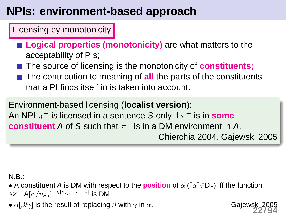## **NPIs: environment-based approach**

Licensing by monotonicity

■ **Logical properties (monotonicity)** are what matters to the acceptability of PIs;

■ The source of licensing is the monotonicity of **constituents;** 

**The contribution to meaning of all the parts of the constituents** that a PI finds itself in is taken into account.

Environment-based licensing (**localist version**): An NPI π<sup>-</sup> is licensed in a sentence S only if π<sup>-</sup> is in some **constituent** A of S such that  $\pi^-$  is in a DM environment in A. Chierchia 2004, Gajewski 2005

N.B.:

• A constituent A is DM with respect to the **position** of  $\alpha$  ( $\llbracket \alpha \rrbracket \in D_{\sigma}$ ) iff the function  $\lambda$ x. $\llbracket$  A[ $\alpha/v_{\sigma,i}$ ]  $\rrbracket^{\mathcal{g}[v_{<\sigma,i>}\to x]}$  is DM.

•  $\alpha[\beta/\gamma]$  is the result of replacing  $\beta$  with  $\gamma$  in  $\alpha$ . Gajews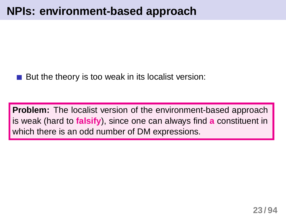But the theory is too weak in its localist version:

**Problem:** The localist version of the environment-based approach is weak (hard to **falsify**), since one can always find **a** constituent in which there is an odd number of DM expressions.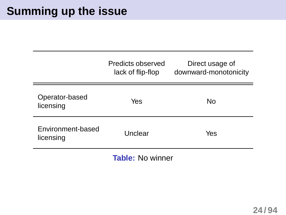#### **Summing up the issue**

|                                | Predicts observed<br>lack of flip-flop | Direct usage of<br>downward-monotonicity |
|--------------------------------|----------------------------------------|------------------------------------------|
| Operator-based<br>licensing    | Yes                                    | No                                       |
| Environment-based<br>licensing | Unclear                                | Yes                                      |

**Table:** No winner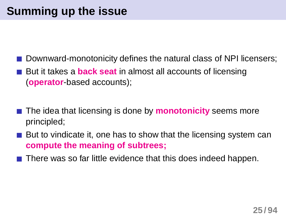- Downward-monotonicity defines the natural class of NPI licensers;
- But it takes a **back seat** in almost all accounts of licensing (**operator**-based accounts);
- The idea that licensing is done by **monotonicity** seems more principled;
- But to vindicate it, one has to show that the licensing system can **compute the meaning of subtrees;**
- There was so far little evidence that this does indeed happen.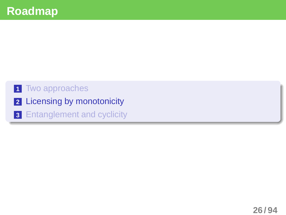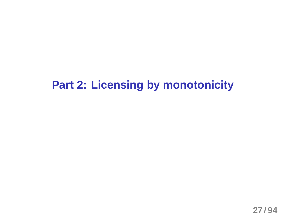#### **Part 2: Licensing by monotonicity**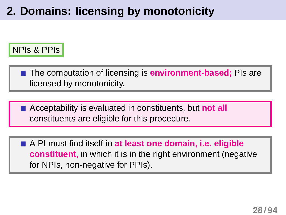### **2. Domains: licensing by monotonicity**



**The computation of licensing is environment-based; PIs are** licensed by monotonicity.

Acceptability is evaluated in constituents, but **not all** constituents are eligible for this procedure.

A PI must find itself in **at least one domain, i.e. eligible constituent,** in which it is in the right environment (negative for NPIs, non-negative for PPIs).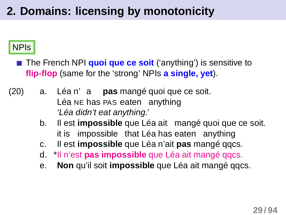# **2. Domains: licensing by monotonicity**

#### NPIs

<span id="page-28-1"></span><span id="page-28-0"></span>■ The French NPI **quoi que ce soit** ('anything') is sensitive to **flip-flop** (same for the 'strong' NPIs **a single, yet**).

- <span id="page-28-4"></span><span id="page-28-3"></span><span id="page-28-2"></span>(20) a. Léa n' a **pas** mangé quoi que ce soit. Léa NE has PAS eaten anything 'Léa didn't eat anything.'
	- $b<sub>1</sub>$ it is impossible that Léa has eaten anything est **impossible** que Léa ait mangé quoi que ce soit.
	- c. Il est **impossible** que Léa n'ait **pas** mangé qqcs.
	- d. \*Il n'est **pas impossible** que Léa ait mangé qqcs.
	- e. **Non** qu'il soit **impossible** que Léa ait mangé qqcs.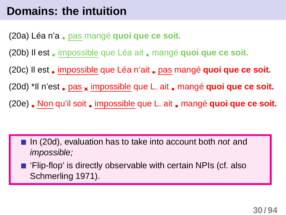#### **Domains: the intuition**

[\(20a\)](#page-28-0) Léa n'a • pas mangé **quoi que ce soit.**

[\(20b\)](#page-28-1) Il est • impossible que Léa ait • mangé **quoi que ce soit.**

[\(20c\)](#page-28-2) Il est • impossible que Léa n'ait • pas mangé **quoi que ce soit.**

[\(20d\)](#page-28-3) \*Il n'est • pas×• impossible que L. ait • mangé **quoi que ce soit.**

[\(20e\)](#page-28-4) • Non qu'il soit • impossible que L. ait • mangé **quoi que ce soit.**

- In [\(20d\),](#page-28-3) evaluation has to take into account both not and impossible;
- 'Flip-flop' is directly observable with certain NPIs (cf. also Schmerling 1971).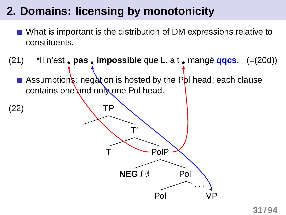### **2. Domains: licensing by monotonicity**

What is important is the distribution of DM expressions relative to constituents.

(21) \*Il n'est • **pas**×• **impossible** que L. ait • mangé **qqcs.** ([=\(20d\)\)](#page-28-3)

Assumptions: negation is hosted by the PpI head; each clause contains one and only one Pol head.

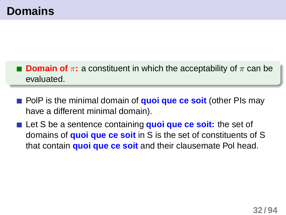- **Domain of**  $\pi$ : a constituent in which the acceptability of  $\pi$  can be evaluated.
- **PolP** is the minimal domain of **quoi que ce soit** (other PIs may have a different minimal domain).
- Let S be a sentence containing **quoi que ce soit:** the set of domains of **quoi que ce soit** in S is the set of constituents of S that contain **quoi que ce soit** and their clausemate Pol head.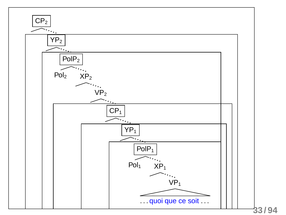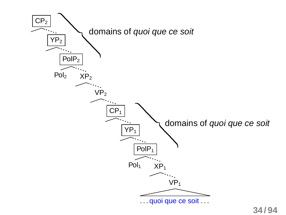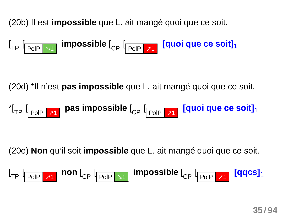[\(20b\)](#page-28-1) Il est **impossible** que L. ait mangé quoi que ce soit.

$$
I_{\text{TP}} \left[ \begin{array}{ccc} \text{p}_{\text{OIP}} & \text{m} & \text{impossible} \end{array} \right]_{\text{CP}} \left[ \begin{array}{ccc} \text{p}_{\text{OIP}} & \text{p}_{\text{1}} & \text{q} & \text{q} & \text{q} & \text{c} & \text{s} & \text{c} \end{array} \right]_{\text{1}}
$$

[\(20d\)](#page-28-3) \*Il n'est **pas impossible** que L. ait mangé quoi que ce soit.

$$
{}^{\star}[{}_{\text{TP}}\text{ }[\underline{\text{PoIP} }\text{ }{}^{\text{}}\text{ }{}^{\text{}}\text{ }\text{ }n\text{ }\text{ }]}\text{ pass in possible }[\underline{\text{C}_{\text{P}}}\text{ }[\underline{\text{PoIP} }\text{ }{}^{\text{}}\text{ }{}^{\text{}}\text{ }\text{ }n\text{ }\text{ }]}\text{ [quoi que ce soit}]\text{ }_{\text{PQ}}\text{ }
$$

[\(20e\)](#page-28-4) **Non** qu'il soit **impossible** que L. ait mangé quoi que ce soit.

$$
\left[\begin{smallmatrix}1 & 0 & 0 \\ 0 & 0 & 0\end{smallmatrix}\right]\right]_{\text{Top}} = \left[\begin{smallmatrix}1 & 0 & 0 \\ 0 & 0 & 0\end{smallmatrix}\right]_{\text{app}} = \left[\begin{smallmatrix}1 & 0 & 0 \\ 0 & 0 & 0\end{smallmatrix}\right]_{\text{app}}
$$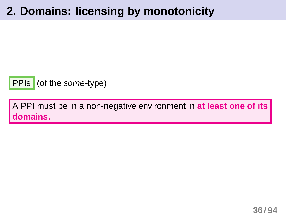#### **2. Domains: licensing by monotonicity**



A PPI must be in a non-negative environment in **at least one of its domains.**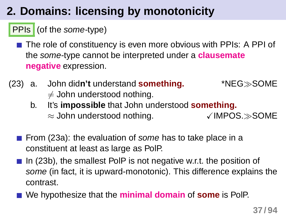## **2. Domains: licensing by monotonicity**

### PPIs (of the some-type)

- <span id="page-36-0"></span>■ The role of constituency is even more obvious with PPIs: A PPI of the some-type cannot be interpreted under a **clausemate negative** expression.
- <span id="page-36-1"></span>(23) a. John did**n't** understand **something.** \*NEG≫SOME  $\neq$  John understood nothing.
	- b. It's **impossible** that John understood **something.**  $\approx$  John understood nothing.  $\checkmark$  IMPOS. $\gg$ SOME
	- From [\(23a\):](#page-36-0) the evaluation of some has to take place in a constituent at least as large as PolP.
	- In [\(23b\),](#page-36-1) the smallest PoIP is not negative w.r.t. the position of some (in fact, it is upward-monotonic). This difference explains the contrast.
	- We hypothesize that the **minimal domain** of **some** is PolP.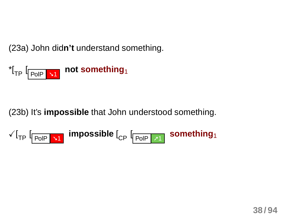[\(23a\)](#page-36-0) John did**n't** understand something.



[\(23b\)](#page-36-1) It's **impossible** that John understood something.

$$
\text{Var}_{\text{TP}}\left[\text{PoIP}\right]\text{M}=\text{impossible}\left[\text{CPI}\left[\text{PoIP}\right]\text{M}\right]
$$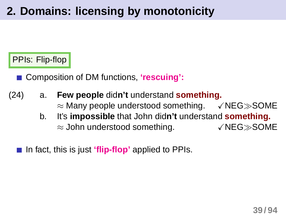## **2. Domains: licensing by monotonicity**

#### PPIs: Flip-flop

■ Composition of DM functions, 'rescuing':

- (24) a. **Few people** did**n't** understand **something.** ≈ Many people understood something.  $\checkmark$ NEG≫SOME
	- b. It's **impossible** that John did**n't** understand **something.** ≈ John understood something.  $\checkmark$ NEG≫SOME

<span id="page-38-1"></span><span id="page-38-0"></span>In fact, this is just **'flip-flop'** applied to PPIs.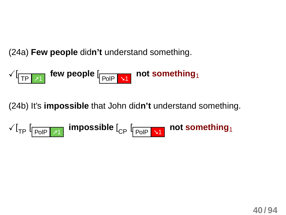[\(24a\)](#page-38-0) **Few people** did**n't** understand something.

$$
\sqrt{L_{\text{TP} \rightarrow 1}}
$$
 few people  $L_{\text{PoIP} \rightarrow 1}$  not something,

[\(24b\)](#page-38-1) It's **impossible** that John did**n't** understand something.

$$
\text{ for a single number of samples, and the number of samples, and the number of samples, and the number of samples, and the number of samples, and the number of samples, and the number of samples, and the number of samples, and the number of samples, and the number of samples, and the number of samples, and the number of samples, and the number of samples, and the number of samples, and the number of samples, and the number of samples, and the number of samples, and the number of samples, and the number of samples, and the number of samples, and the number of samples, and the number of samples, and the number of samples, and the number of samples, and the number of samples, and the number of samples, and the number of samples, and the number of samples, and the number of samples, and the number of samples, and the number of samples, and the number of samples, and the number of samples, and the number of samples, and the number of samples, and the number of samples, and the number of samples, and the number of samples, and the number of samples, and the number of samples, and the number of samples, and the number of samples, and the number of samples, and the number of samples, and the number of samples, and the number of samples, and the number of samples, and the number of samples, and the number of samples, and the number of samples, and the number of samples, and the number of samples, and the number of samples, and the number of samples, and the number of samples, and the number of samples, and the number of samples, and the number of samples, and the number of samples, and the number of samples, and the number of samples, and the number of samples, and the number of samples, and the number of samples, and the number of samples, and the number of samples, and the number of samples, and the number of samples, and the number of samples, and the number of samples, and the number of samples, and the number of samples, and the number of samples, and the number of samples, and the number of samples, and the number of samples, and the number of samples, and the number of samples, and the number of samples, and the number of samples, and the number of samples, and the number of samples, and the number of samples, and the number of samples, and the number of samples, and the number of samples, and the number of samples, and the number of samples, and the number of samples, and the number of samples, and the number of samples, and the number of samples, and the number of samples, and the number of samples, and the number of samples, and the number of samples, and the number of samples, and the number of samples, and the number of samples, and the number of samples, and the number of samples, and the number of samples, and the number of samples, and the number of samples, and the number of samples, and the number of samples, and the number of samples, and the number of samples, and the number of samples, and the number of samples, and the number of samples, and the number of samples, and the number of samples, and the number of samples, and the number of samples, and the number of samples, and the number of samples, and the number of samples, and the number of samples, and the number of samples, and the number of samples, and the number of samples, and the number of samples, and the number of samples, and the number of samples, and the number of samples,
$$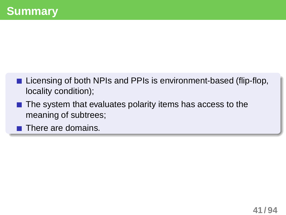- Licensing of both NPIs and PPIs is environment-based (flip-flop, locality condition);
- $\blacksquare$  The system that evaluates polarity items has access to the meaning of subtrees;

 $\blacksquare$  There are domains.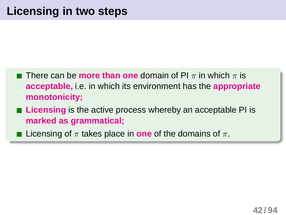- **There can be more than one** domain of PI  $\pi$  in which  $\pi$  is **acceptable,** i.e. in which its environment has the **appropriate monotonicity;**
- **Licensing** is the active process whereby an acceptable PI is **marked as grammatical;**
- **Licensing of**  $\pi$  **takes place in one of the domains of**  $\pi$ **.**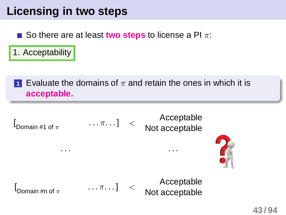## **Licensing in two steps**

So there are at least **two steps** to license a PI  $\pi$ :

1. Acceptability

**1** Evaluate the domains of  $\pi$  and retain the ones in which it is **acceptable.**

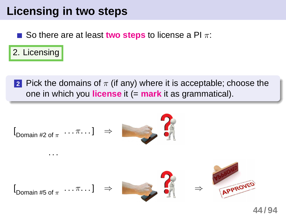## **Licensing in two steps**

So there are at least **two steps** to license a PI π:  $\mathcal{L}^{\mathcal{A}}$ 

2. Licensing

**2** Pick the domains of  $\pi$  (if any) where it is acceptable; choose the one in which you **license** it (= **mark** it as grammatical).

$$
I_{\text{Domain #2 of } \pi} \dots \pi \dots] \Rightarrow
$$
\n
$$
I_{\text{Domain #5 of } \pi} \dots \pi \dots] \Rightarrow
$$
\n
$$
\Rightarrow
$$
\n
$$
I_{\text{Domain #5 of } \pi} \dots \pi \dots]
$$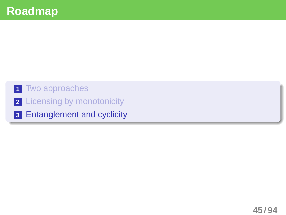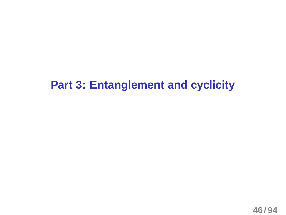### **Part 3: Entanglement and cyclicity**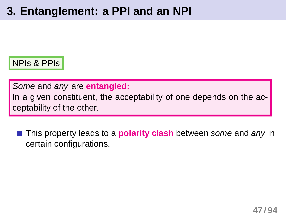## **3. Entanglement: a PPI and an NPI**

NPIs & PPIs

Some and any are **entangled:**

In a given constituent, the acceptability of one depends on the acceptability of the other.

**This property leads to a <b>polarity clash** between some and any in certain configurations.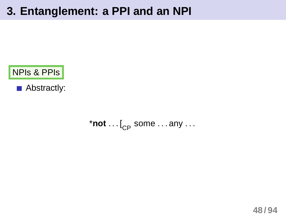### **3. Entanglement: a PPI and an NPI**



Abstractly:

 $*$ **not**  $\ldots$  [<sub>CP</sub> some  $\ldots$  any  $\ldots$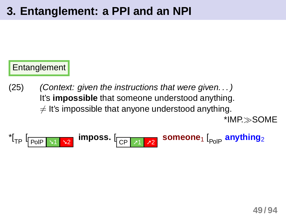### Entanglement

<span id="page-48-0"></span>(25) (Context: given the instructions that were given. . . ) It's **impossible** that someone understood anything.  $\neq$  It's impossible that anyone understood anything. \*IMP.≫SOME

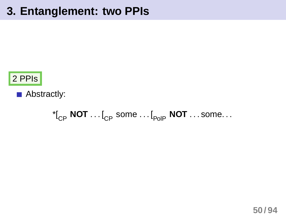## **3. Entanglement: two PPIs**



Abstractly:

 ${\binom{*}}_{\rm CP}$  **NOT**  $\ldots$  [<sub>CP</sub> some  $\ldots$  [<sub>PolP</sub> **NOT**  $\ldots$  some...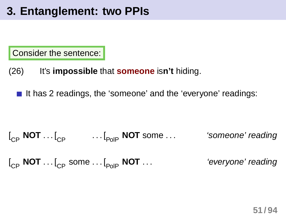## **3. Entanglement: two PPIs**

Consider the sentence:

- (26) It's **impossible** that **someone** is**n't** hiding.
	- It has 2 readings, the 'someone' and the 'everyone' readings:  $\mathcal{L}^{\mathcal{A}}$

$$
\begin{bmatrix} \begin{bmatrix} C_P & \text{NOT} \end{bmatrix} & \begin{bmatrix} C_P & \cdots \end{bmatrix} & \begin{bmatrix} C_P & \cdots \end{bmatrix} & \begin{bmatrix} C_P & \cdots \end{bmatrix} & \begin{bmatrix} C_P & \cdots \end{bmatrix} & \begin{bmatrix} C_P & \cdots \end{bmatrix} & \begin{bmatrix} C_P & \cdots \end{bmatrix} & \begin{bmatrix} C_P & \cdots \end{bmatrix} & \begin{bmatrix} C_P & \cdots \end{bmatrix} & \begin{bmatrix} C_P & \cdots \end{bmatrix} & \begin{bmatrix} C_P & \cdots \end{bmatrix} & \begin{bmatrix} C_P & \cdots \end{bmatrix} & \begin{bmatrix} C_P & \cdots \end{bmatrix} & \begin{bmatrix} C_P & \cdots \end{bmatrix} & \begin{bmatrix} C_P & \cdots \end{bmatrix} & \begin{bmatrix} C_P & \cdots \end{bmatrix} & \begin{bmatrix} C_P & \cdots \end{bmatrix} & \begin{bmatrix} C_P & \cdots \end{bmatrix} & \begin{bmatrix} C_P & \cdots \end{bmatrix} & \begin{bmatrix} C_P & \cdots \end{bmatrix} & \begin{bmatrix} C_P & \cdots \end{bmatrix} & \begin{bmatrix} C_P & \cdots \end{bmatrix} & \begin{bmatrix} C_P & \cdots \end{bmatrix} & \begin{bmatrix} C_P & \cdots \end{bmatrix} & \begin{bmatrix} C_P & \cdots \end{bmatrix} & \begin{bmatrix} C_P & \cdots \end{bmatrix} & \begin{bmatrix} C_P & \cdots \end{bmatrix} & \begin{bmatrix} C_P & \cdots \end{bmatrix} & \begin{bmatrix} C_P & \cdots \end{bmatrix} & \begin{bmatrix} C_P & \cdots \end{bmatrix} & \begin{bmatrix} C_P & \cdots \end{bmatrix} & \begin{bmatrix} C_P & \cdots \end{bmatrix} & \begin{bmatrix} C_P & \cdots \end
$$

[ CP **NOT** . . . [CP some . . . [PolP **NOT** . . . 'everyone' reading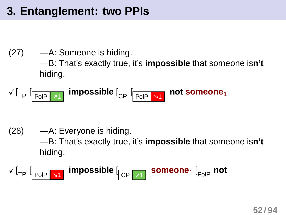## **3. Entanglement: two PPIs**

#### (27) —A: Someone is hiding. —B: That's exactly true, it's **impossible** that someone is**n't** hiding.

$$
\text{Var}_{\text{TP}}\left[\text{Pole}\left[\text{M1}\right]\right] \text{impossible}\left[\text{Ppe}\left[\text{Pole}\left[\text{M1}\right]\right]\right] \text{not someone}\right]
$$

(28) —A: Everyone is hiding. —B: That's exactly true, it's **impossible** that someone is**n't** hiding.

$$
\text{Var}_{\text{TP}}\left[\text{Pole}\right]\text{M}^{\text{impossible}}\left[\text{NP}\right]\text{Someone}_{1}\left[\text{Pole}\right]
$$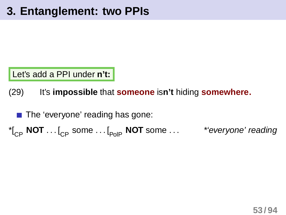Let's add a PPI under **n't:**

(29) It's **impossible** that **someone** is**n't** hiding **somewhere.**

<span id="page-52-0"></span> $\blacksquare$  The 'everyone' reading has gone:

 ${\binom*}{s}$  **NOT** . . .  $\begin{bmatrix} 0 & \dots & 0 \\ 0 & \dots & 0 \end{bmatrix}$  **NOT** some  $\ldots$  \* *everyone' reading*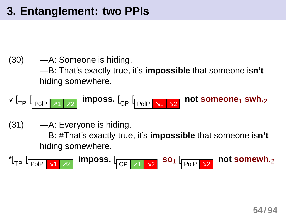(30) —A: Someone is hiding. —B: That's exactly true, it's **impossible** that someone is**n't** hiding somewhere.

$$
\sqrt{I_{TP}} \left[ \frac{P_{OIP} | \mathbf{x} | \mathbf{x} |}{P_{OIP} | \mathbf{x} | \mathbf{x} | \mathbf{x} |} \right]
$$
 (1) Suppose,  $I_{CP} \left[ \frac{P_{OIP} | \mathbf{x} |}{P_{OIP} | \mathbf{x} | \mathbf{x} |} \right]$  (2)

 $(31)$  —A: Everyone is hiding.

—B: #That's exactly true, it's **impossible** that someone is**n't** hiding somewhere.

$$
{}^{\star}[\text{TP} \downharpoonright_{\text{POIP}} \text{N1} \upharpoonright_{\text{P2}}] \text{ imposes.}
$$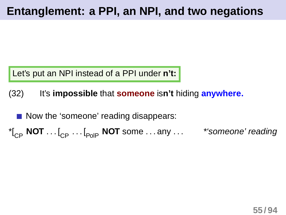Let's put an NPI instead of a PPI under **n't:**

(32) It's **impossible** that **someone** is**n't** hiding **anywhere.**

Now the 'someone' reading disappears:  ${\bf N}$ <sub>CP</sub> **NOT** ...  $\begin{bmatrix} C_{\text{PP}} & \cdots & C_{\text{PoIP}} \end{bmatrix}$  **NOT** some ... any ... \* \* *someone' reading*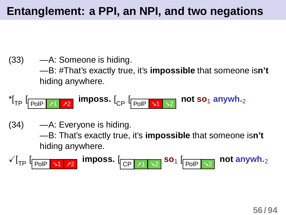(33) —A: Someone is hiding. —B: #That's exactly true, it's **impossible** that someone is**n't** hiding anywhere.

$$
{}^{\star}\hspace{-0.1cm}\left[\mathsf{I}_{\mathsf{Fol}}\right]\hspace{-0.1cm}\left[\mathsf{I}_{\mathsf{Fol}}\hspace{-0.1cm}\right]\hspace{-0.1cm}\left[\mathsf{I}_{\mathsf{A2}}\right]\hspace{-0.1cm}\left[\mathsf{I}_{\mathsf{Fol}}\hspace{-0.1cm}\right]\hspace{-0.1cm}\left[\mathsf{I}_{\mathsf{Fol}}\hspace{-0.1cm}\right]\hspace{-0.1cm}\left[\mathsf{I}_{\mathsf{Fol}}\hspace{-0.1cm}\right]\hspace{-0.1cm}\left[\mathsf{I}_{\mathsf{A1}}\hspace{-0.1cm}\right]\hspace{-0.1cm}\left[\mathsf{I}_{\mathsf{A2}}\hspace{-0.1cm}\right]\hspace{-0.1cm}\left[\mathsf{I}_{\mathsf{A3}}\hspace{-0.1cm}\right]\hspace{-0.1cm}\left[\mathsf{I}_{\mathsf{A4}}\hspace{-0.1cm}\right]\hspace{-0.1cm}\left[\mathsf{I}_{\mathsf{A3}}\hspace{-0.1cm}\right]\hspace{-0.1cm}\left[\mathsf{I}_{\mathsf{A4}}\hspace{-0.1cm}\right]\hspace{-0.1cm}\left[\mathsf{I}_{\mathsf{A4}}\hspace{-0.1cm}\right]\hspace{-0.1cm}\left[\mathsf{I}_{\mathsf{A5}}\hspace{-0.1cm}\right]\hspace{-0.1cm}\left[\mathsf{I}_{\mathsf{A5}}\hspace{-0.1cm}\right]\hspace{-0.1cm}\left[\mathsf{I}_{\mathsf{A5}}\hspace{-0.1cm}\right]\hspace{-0.1cm}\left[\mathsf{I}_{\mathsf{A5}}\hspace{-0.1cm}\right]\hspace{-0.1cm}\left[\mathsf{I}_{\mathsf{A5}}\hspace{-0.1cm}\right]\hspace{-0.1cm}\left[\mathsf{I}_{\mathsf{A5}}\hspace{-0.1cm}\right]\hspace{-0.1cm}\left[\mathsf{I}_{\mathsf{A5}}\hspace{-0.1cm}\right]\hspace{-0.1cm}\left[\mathsf{I}_{\mathsf{A5}}\hspace{-0.1cm}\right]\hspace{-0.1cm}\left[\mathsf{I}_{\mathsf{A5}}\hspace{-0.1cm}\right]\hspace{-0.1cm}\left[\mathsf{I}_{\mathsf{A5}}\hspace{-0.1cm}\right]\hspace{-0.1cm}\left[\math
$$

(34) —A: Everyone is hiding.

—B: That's exactly true, it's **impossible** that someone is**n't** hiding anywhere.

$$
\sqrt{I_{TP}} \left[ \frac{P_{OIP} | \mathbf{v1} | \mathbf{v2}}{P_{OIP} | \mathbf{v1} | \mathbf{v2}} \right]
$$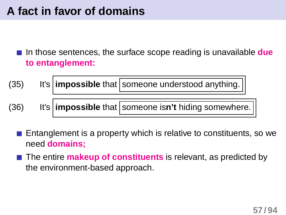## **A fact in favor of domains**

In those sentences, the surface scope reading is unavailable **due to entanglement:**

(35) It's **impossible** that someone understood anything.

(36) It's **impossible** that someone isn't hiding somewhere.

Entanglement is a property which is relative to constituents, so we need **domains;**

The entire **makeup of constituents** is relevant, as predicted by the environment-based approach.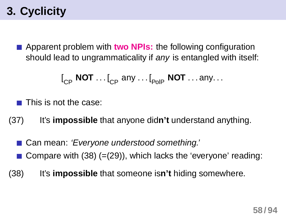## **3. Cyclicity**

Apparent problem with **two NPIs:** the following configuration should lead to ungrammaticality if any is entangled with itself:

<span id="page-57-0"></span>
$$
\left[\begin{smallmatrix} & & \\ & C_{\mathsf{P}} & \mathsf{NOT} & \dots & \mathsf{I}_{\mathsf{C}\mathsf{P}} \end{smallmatrix} \text{ and } \dots \text{ } \mathsf{I}_{\mathsf{PolP}} \text{ \textbf{ NOT} } \dots \text{ any} \dots \right.
$$

This is not the case:

- (37) It's **impossible** that anyone did**n't** understand anything.
	- Can mean: 'Everyone understood something.'
	- Compare with [\(38\)](#page-57-0) ([=\(29\)\)](#page-52-0), which lacks the 'everyone' reading:
- (38) It's **impossible** that someone is**n't** hiding somewhere.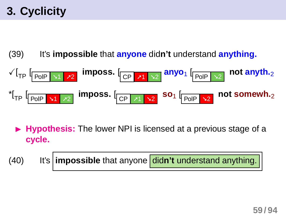## **3. Cyclicity**

(39) It's **impossible** that **anyone** did**n't** understand **anything.**

$$
\sqrt{I_{TP} \left[ \frac{P_{OIP} \cdot \text{M}}{\text{PoIP} \cdot \text{M}} \right] \cdot \text{m} \cdot \text{p} \cdot \text{m} \cdot \text{p} \cdot \text{m} \cdot \text{p} \cdot \text{m}} \cdot \text{m} \cdot \text{p} \cdot \text{m} \cdot \text{p} \cdot \text{m} \cdot \text{p} \cdot \text{m} \cdot \text{p} \cdot \text{m} \cdot \text{p} \cdot \text{m} \cdot \text{p} \cdot \text{m} \cdot \text{p} \cdot \text{m} \cdot \text{p} \cdot \text{m} \cdot \text{p} \cdot \text{m} \cdot \text{p} \cdot \text{m} \cdot \text{p} \cdot \text{m} \cdot \text{p} \cdot \text{m} \cdot \text{p} \cdot \text{m} \cdot \text{p} \cdot \text{m} \cdot \text{p} \cdot \text{m} \cdot \text{p} \cdot \text{m} \cdot \text{p} \cdot \text{m} \cdot \text{p} \cdot \text{m} \cdot \text{p} \cdot \text{m} \cdot \text{p} \cdot \text{m} \cdot \text{p} \cdot \text{m} \cdot \text{p} \cdot \text{m} \cdot \text{p} \cdot \text{m} \cdot \text{p} \cdot \text{m} \cdot \text{p} \cdot \text{m} \cdot \text{p} \cdot \text{m} \cdot \text{p} \cdot \text{m} \cdot \text{p} \cdot \text{m} \cdot \text{p} \cdot \text{m} \cdot \text{p} \cdot \text{m} \cdot \text{p} \cdot \text{m} \cdot \text{p} \cdot \text{m} \cdot \text{p} \cdot \text{m} \cdot \text{p} \cdot \text{m} \cdot \text{p} \cdot \text{m} \cdot \text{p} \cdot \text{m} \cdot \text{p} \cdot \text{p} \cdot \text{m} \cdot \text{p} \cdot \text{p} \cdot \text{p} \cdot \text{p} \cdot \text{p} \cdot \text{p} \cdot \text{p} \cdot \text{p} \cdot \text{p} \cdot \text{p} \cdot \text{p} \cdot \text{p} \cdot \text{p} \cdot \text{p} \cdot \text{p} \cdot \text{p} \cdot \text{p} \cdot \text{p} \cdot \text{p} \cdot \text
$$

**Hypothesis:** The lower NPI is licensed at a previous stage of a **cycle.**

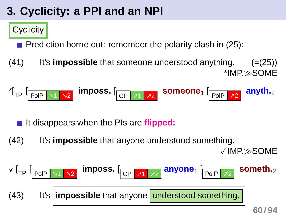## **3. Cyclicity: a PPI and an NPI**

### **Cyclicity**

**Prediction borne out: remember the polarity clash in [\(25\):](#page-48-0)** 

(41) It's **impossible** that someone understood anything. ([=\(25\)\)](#page-48-0) \*IMP.≫SOME

$$
{}^{\star}[\mathsf{T}_{\mathsf{P}}\left[\mathsf{T}_{\mathsf{P} \mathsf{O}}\left[\mathsf{T}_{\mathsf{A}}\right]\right]\mathsf{T}_{\mathsf{A}}]
$$

It disappears when the PIs are **flipped:**

(42) It's **impossible** that anyone understood something. XIMP.≫SOME

$$
\sqrt{I_{TP} \left[ \frac{P_{OIP} \cdot \sqrt{1 + \frac{P}{2}}}{P_{OIP} \cdot \sqrt{1 + \frac{P}{2}} \right]}} \text{ (R) 2}
$$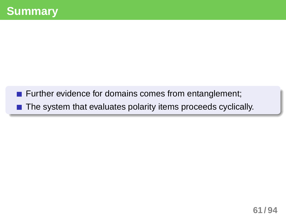- **Further evidence for domains comes from entanglement;**
- The system that evaluates polarity items proceeds cyclically.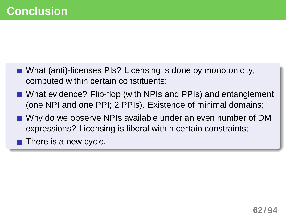- What (anti)-licenses PIs? Licensing is done by monotonicity, computed within certain constituents;
- What evidence? Flip-flop (with NPIs and PPIs) and entanglement (one NPI and one PPI; 2 PPIs). Existence of minimal domains;
- Why do we observe NPIs available under an even number of DM expressions? Licensing is liberal within certain constraints;
- $\blacksquare$  There is a new cycle.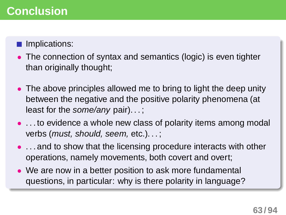#### Implications:

- The connection of syntax and semantics (logic) is even tighter than originally thought;
- The above principles allowed me to bring to light the deep unity between the negative and the positive polarity phenomena (at least for the *some/any* pair)...;
- ... to evidence a whole new class of polarity items among modal verbs (must, should, seem, etc.). . . ;
- ... and to show that the licensing procedure interacts with other operations, namely movements, both covert and overt;
- We are now in a better position to ask more fundamental questions, in particular: why is there polarity in language?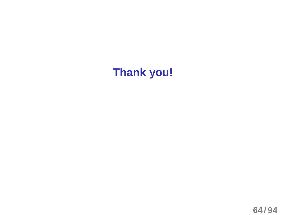# **Thank you!**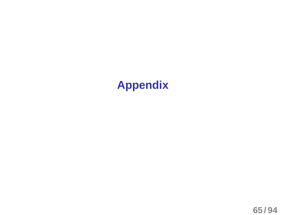## **Appendix**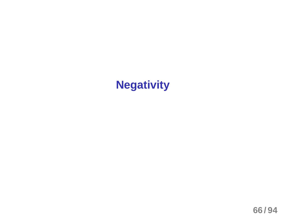## **Negativity**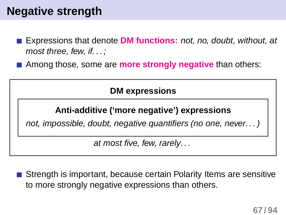## **Negative strength**

- Expressions that denote **DM functions:** not, no, doubt, without, at most three, few, if. . . ;
- Among those, some are **more strongly negative** than others:

**DM expressions**

#### **Anti-additive ('more negative') expressions**

not, impossible, doubt, negative quantifiers (no one, never. . . )

at most five, few, rarely. . .

Strength is important, because certain Polarity Items are sensitive to more strongly negative expressions than others.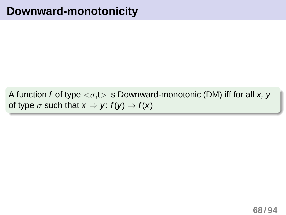A function f of type  $\langle \sigma, t \rangle$  is Downward-monotonic (DM) iff for all x, y of type  $\sigma$  such that  $x \Rightarrow y: f(y) \Rightarrow f(x)$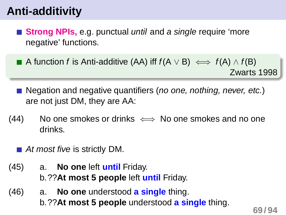## **Anti-additivity**

- **Strong NPIs, e.g. punctual until and a single require 'more** negative' functions.
- A function f is Anti-additive (AA) iff  $f(A \vee B) \iff f(A) \wedge f(B)$ Zwarts 1998
- Negation and negative quantifiers (*no one, nothing, never, etc.*) are not just DM, they are AA:
- $(44)$  No one smokes or drinks  $\iff$  No one smokes and no one drinks.
	- At most five is strictly DM.
- (45) a. **No one** left **until** Friday. b.??**At most 5 people** left **until** Friday.
- (46) a. **No one** understood **a single** thing. b.??**At most 5 people** understood **a single** thing.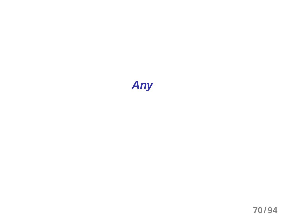# **Any**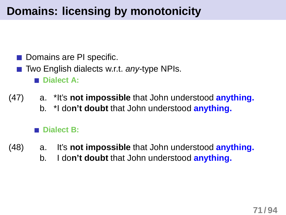## **Domains: licensing by monotonicity**

- Domains are PI specific.
- $\blacksquare$  Two English dialects w.r.t. any-type NPIs. **Dialect A:**
- (47) a. \*It's **not impossible** that John understood **anything.** b. \*I do**n't doubt** that John understood **anything.**

#### **Dialect B:**

- (48) a. It's **not impossible** that John understood **anything.**
	- b. I do**n't doubt** that John understood **anything.**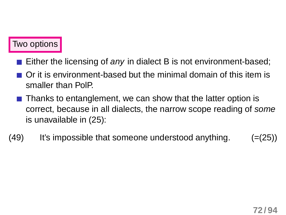#### Two options

- Either the licensing of any in dialect B is not environment-based;
- Or it is environment-based but the minimal domain of this item is smaller than PolP.
- $\blacksquare$  Thanks to entanglement, we can show that the latter option is correct, because in all dialects, the narrow scope reading of some is unavailable in [\(25\):](#page-48-0)
- $(49)$  It's impossible that someone understood anything.  $(=(25))$  $(=(25))$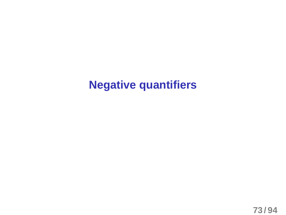## **Negative quantifiers**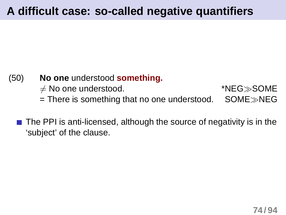## **A difficult case: so-called negative quantifiers**

#### (50) **No one** understood **something.**

 $\neq$  No one understood.  $*NEG\gg$ SOME

= There is something that no one understood. SOME≫NEG

 $\blacksquare$  The PPI is anti-licensed, although the source of negativity is in the 'subject' of the clause.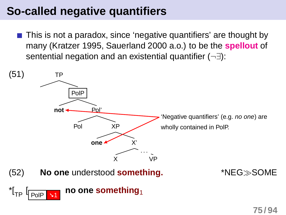## **So-called negative quantifiers**

This is not a paradox, since 'negative quantifiers' are thought by many (Kratzer 1995, Sauerland 2000 a.o.) to be the **spellout** of sentential negation and an existential quantifier (¬∃):

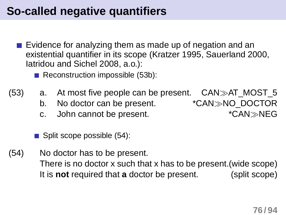## **So-called negative quantifiers**

- Evidence for analyzing them as made up of negation and an existential quantifier in its scope (Kratzer 1995, Sauerland 2000, Iatridou and Sichel 2008, a.o.):
	- Reconstruction impossible [\(53b\):](#page-75-0)
- (53) a. At most five people can be present.  $CAN\gg AT$  MOST 5
	- b. No doctor can be present. \*CAN≫NO\_DOCTOR
	- c. John cannot be present. \*CAN≫NEG

<span id="page-75-1"></span><span id="page-75-0"></span> $\blacksquare$  Split scope possible [\(54\):](#page-75-1)

(54) No doctor has to be present. There is no doctor x such that x has to be present.(wide scope) It is **not** required that **a** doctor be present. (split scope)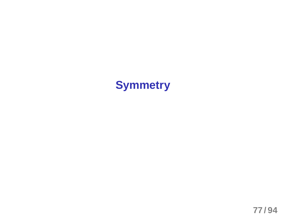## **Symmetry**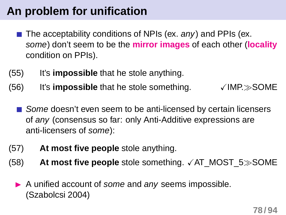## **An problem for unification**

- The acceptability conditions of NPIs (ex. any) and PPIs (ex. some) don't seem to be the **mirror images** of each other (**locality** condition on PPIs).
- (55) It's **impossible** that he stole anything.
- $(56)$  It's **impossible** that he stole something.  $\checkmark$  IMP. $\gg$ SOME
	- Some doesn't even seem to be anti-licensed by certain licensers of any (consensus so far: only Anti-Additive expressions are anti-licensers of some):
- (57) **At most five people** stole anything.
- (58) **At most five people** stole something. √AT\_MOST\_5≫SOME
	- A unified account of some and any seems impossible. (Szabolcsi 2004)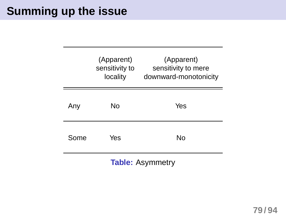### **Summing up the issue**

|      | (Apparent)<br>sensitivity to<br>locality | (Apparent)<br>sensitivity to mere<br>downward-monotonicity |
|------|------------------------------------------|------------------------------------------------------------|
| Anv  | No                                       | Yes                                                        |
| Some | Yes                                      | Nο                                                         |

**Table:** Asymmetry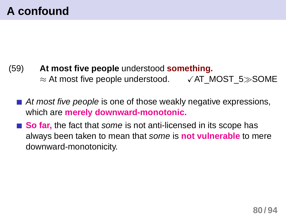- (59) **At most five people** understood **something.** ≈ At most five people understood. XAT\_MOST\_5≫SOME
	- $\blacksquare$  At most five people is one of those weakly negative expressions, which are **merely downward-monotonic.**
	- So far, the fact that some is not anti-licensed in its scope has always been taken to mean that some is **not vulnerable** to mere downward-monotonicity.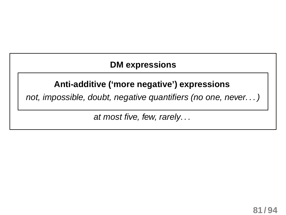#### **DM expressions**

#### **Anti-additive ('more negative') expressions**

not, impossible, doubt, negative quantifiers (no one, never. . . )

at most five, few, rarely. . .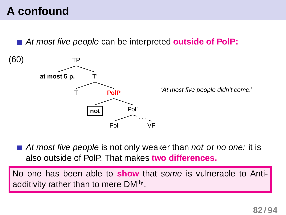## **A confound**

At most five people can be interpreted **outside of PolP:**



At most five people is not only weaker than not or no one: it is also outside of PolP. That makes **two differences.**

No one has been able to **show** that some is vulnerable to Antiadditivity rather than to mere DM<sup>ity</sup>.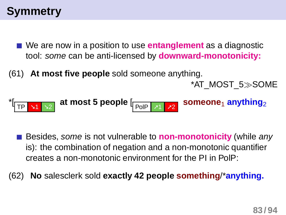## **Symmetry**

- We are now in a position to use **entanglement** as a diagnostic tool: some can be anti-licensed by **downward-monotonicity:**
- (61) **At most five people** sold someone anything.

\*AT\_MOST\_5≫SOME

\*[ TP ➘<sup>1</sup> ➘<sup>2</sup> **at most 5 people** [ PolP ➚1 ➚2 **someone**<sup>1</sup> **anything**<sup>2</sup>

**Besides, some is not vulnerable to non-monotonicity** (while any is): the combination of negation and a non-monotonic quantifier creates a non-monotonic environment for the PI in PolP:

(62) **No** salesclerk sold **exactly 42 people something**/\***anything.**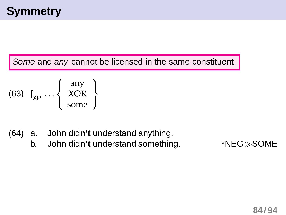Some and any cannot be licensed in the same constituent.

$$
\text{(63)} \ \left[\begin{matrix} \text{any} \\ \text{XOR} \\ \text{some} \end{matrix}\right]
$$

- (64) a. John did**n't** understand anything.
	- b. John did**n't** understand something. \*NEG≫SOME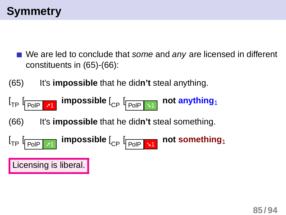- <span id="page-84-0"></span>We are led to conclude that some and any are licensed in different constituents in [\(65\)-](#page-84-0)[\(66\):](#page-84-1)
- (65) It's **impossible** that he did**n't** steal anything.



<span id="page-84-1"></span>(66) It's **impossible** that he did**n't** steal something.

$$
\left[\begin{smallmatrix}1_{\text{TP}} & \text{[Pole]} & \text{[mpossible]}\\ \text{[pole]} & \text{[pole]} & \text{[m]}\end{smallmatrix}\right]
$$

Licensing is liberal.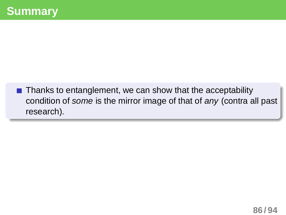$\blacksquare$  Thanks to entanglement, we can show that the acceptability condition of some is the mirror image of that of any (contra all past research).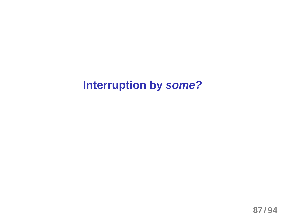### **Interruption by some?**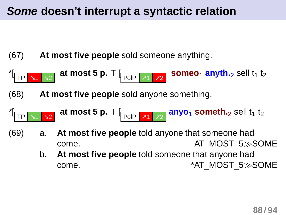#### **Some doesn't interrupt a syntactic relation**

(67) **At most five people** sold someone anything.



(68) **At most five people** sold anyone something.

<sup>\*</sup> 
$$
\sqrt{TP} \times 1
$$
  $\times 2$  at most 5 p. T  $\sqrt{P} \times 1$   $\times 2$  **anyo<sub>1</sub> something**

- (69) a. **At most five people** told anyone that someone had come. AT\_MOST\_5≫SOME
	- b. **At most five people** told someone that anyone had come. \*AT\_MOST\_5≫SOME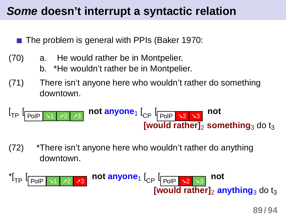#### **Some doesn't interrupt a syntactic relation**

The problem is general with PPIs (Baker 1970:

- (70) a. He would rather be in Montpelier.
	- b. \*He wouldn't rather be in Montpelier.
- (71) There isn't anyone here who wouldn't rather do something downtown.

$$
\begin{array}{c}\n\left[\begin{array}{cc|c}\n_{TP} & \text{for} & \text{not} \\
\hline\n\end{array} \right]\n\end{array}
$$
\n
$$
\begin{array}{c}\n\text{not} & \text{and} \\
\text{for} & \text{for} \\
\hline\n\end{array}\n\end{array}
$$
\n
$$
\begin{array}{c}\n\text{not} & \text{for} \\
\hline\n\end{array}\n\end{array}
$$

(72) \*There isn't anyone here who wouldn't rather do anything downtown.

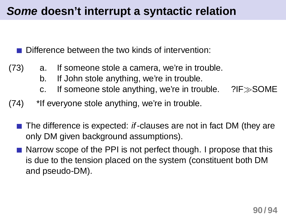#### **Some doesn't interrupt a syntactic relation**

Difference between the two kinds of intervention:

- (73) a. If someone stole a camera, we're in trouble.
	- b. If John stole anything, we're in trouble.
	- c. If someone stole anything, we're in trouble. ?IF≫SOME
- $(74)$  \*If everyone stole anything, we're in trouble.
	- The difference is expected: if-clauses are not in fact DM (they are only DM given background assumptions).
	- **Narrow scope of the PPI is not perfect though. I propose that this** is due to the tension placed on the system (constituent both DM and pseudo-DM).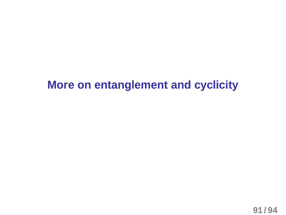## **More on entanglement and cyclicity**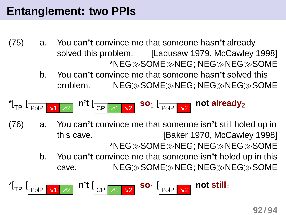- (75) a. You ca**n't** convince me that someone has**n't** already solved this problem. [Ladusaw 1979, McCawley 1998] \*NEG≫SOME≫NEG; NEG≫NEG≫SOME
	- b. You ca**n't** convince me that someone has**n't** solved this problem. NEG≫SOME≫NEG; NEG≫NEG≫SOME

$$
{}^{\star}[{}_{\text{TP}}\left[\underline{\text{PolP}}\middle|\begin{array}{c|c} \texttt{M1} & \texttt{M2} \end{array}\right]\text{ n't}\left[\underline{\text{CP}}\middle|\begin{array}{c|c} \texttt{M1} & \texttt{M2} \end{array}\right]\text{ so }_{1}\left[\underline{\text{PolP}}\middle|\begin{array}{c|c} \texttt{M2} & \text{not already} \end{array}\right]
$$

- (76) a. You ca**n't** convince me that someone is**n't** still holed up in this cave. [Baker 1970, McCawley 1998] \*NEG≫SOME≫NEG; NEG≫NEG≫SOME
	- b. You ca**n't** convince me that someone is**n't** holed up in this cave. NEG≫SOME≫NEG; NEG≫NEG≫SOME

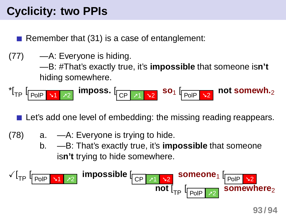## **Cyclicity: two PPIs**

Remember that [\(31\)](#page-53-0) is a case of entanglement:

(77) —A: Everyone is hiding.

—B: #That's exactly true, it's **impossible** that someone is**n't** hiding somewhere.

$$
^{\star}[\text{TP} \downharpoonright_{\text{POIP}} \text{N1} \upharpoonright_{\text{P2}}] \text{ imposes. } [\text{CP} \downharpoonright_{\text{P1}} \text{N2} \text{SO}_1 \downharpoonright_{\text{POIP} \upharpoonright \text{N2}} \text{not somewhat.}
$$

Let's add one level of embedding: the missing reading reappears.

- (78) a. —A: Everyone is trying to hide.
	- b. —B: That's exactly true, it's **impossible** that someone is**n't** trying to hide somewhere.